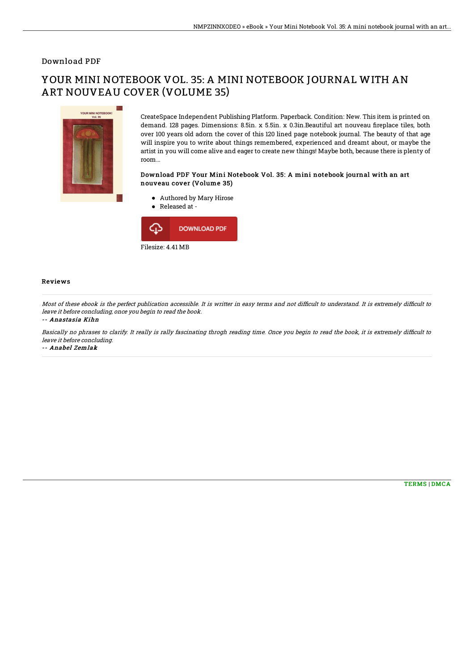### Download PDF

# YOUR MINI NOTEBOOK VOL. 35: A MINI NOTEBOOK JOURNAL WITH AN ART NOUVEAU COVER (VOLUME 35)



CreateSpace Independent Publishing Platform. Paperback. Condition: New. This item is printed on demand. 128 pages. Dimensions: 8.5in. x 5.5in. x 0.3in.Beautiful art nouveau fireplace tiles, both over 100 years old adorn the cover of this 120 lined page notebook journal. The beauty of that age will inspire you to write about things remembered, experienced and dreamt about, or maybe the artist in you will come alive and eager to create new things! Maybe both, because there is plenty of room...

#### Download PDF Your Mini Notebook Vol. 35: A mini notebook journal with an art nouveau cover (Volume 35)

- Authored by Mary Hirose
- Released at -



### Reviews

Most of these ebook is the perfect publication accessible. It is writter in easy terms and not difficult to understand. It is extremely difficult to leave it before concluding, once you begin to read the book.

#### -- Anastasia Kihn

Basically no phrases to clarify. It really is rally fascinating throgh reading time. Once you begin to read the book, it is extremely difficult to leave it before concluding. -- Anabel Zemlak